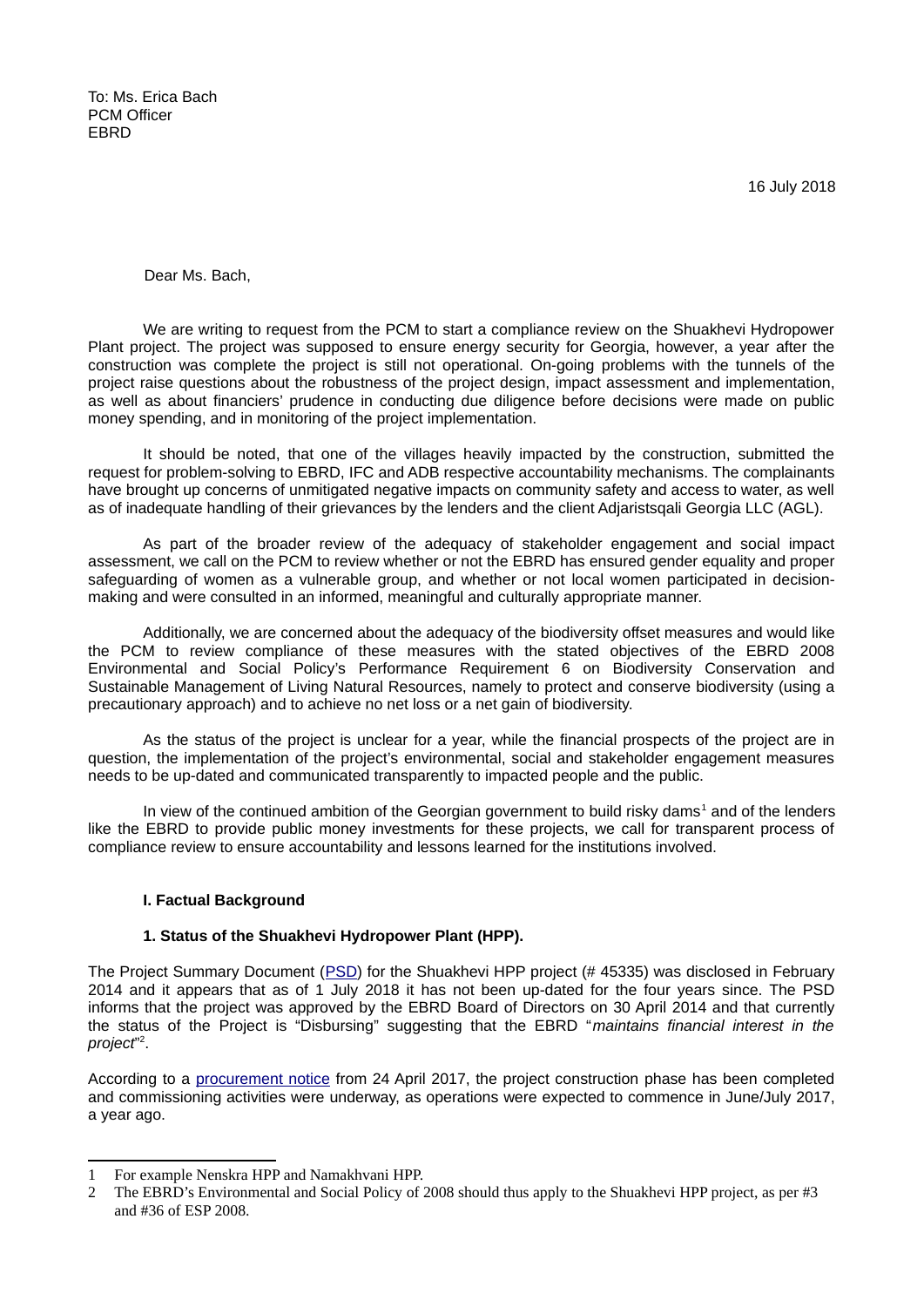To: Ms. Erica Bach PCM Officer **FBRD** 

16 July 2018

Dear Ms. Bach,

We are writing to request from the PCM to start a compliance review on the Shuakhevi Hydropower Plant project. The project was supposed to ensure energy security for Georgia, however, a year after the construction was complete the project is still not operational. On-going problems with the tunnels of the project raise questions about the robustness of the project design, impact assessment and implementation, as well as about financiers' prudence in conducting due diligence before decisions were made on public money spending, and in monitoring of the project implementation.

It should be noted, that one of the villages heavily impacted by the construction, submitted the request for problem-solving to EBRD, IFC and ADB respective accountability mechanisms. The complainants have brought up concerns of unmitigated negative impacts on community safety and access to water, as well as of inadequate handling of their grievances by the lenders and the client Adjaristsqali Georgia LLC (AGL).

As part of the broader review of the adequacy of stakeholder engagement and social impact assessment, we call on the PCM to review whether or not the EBRD has ensured gender equality and proper safeguarding of women as a vulnerable group, and whether or not local women participated in decisionmaking and were consulted in an informed, meaningful and culturally appropriate manner.

Additionally, we are concerned about the adequacy of the biodiversity offset measures and would like the PCM to review compliance of these measures with the stated objectives of the EBRD 2008 Environmental and Social Policy's Performance Requirement 6 on Biodiversity Conservation and Sustainable Management of Living Natural Resources, namely to protect and conserve biodiversity (using a precautionary approach) and to achieve no net loss or a net gain of biodiversity.

As the status of the project is unclear for a year, while the financial prospects of the project are in question, the implementation of the project's environmental, social and stakeholder engagement measures needs to be up-dated and communicated transparently to impacted people and the public.

In view of the continued ambition of the Georgian government to build risky dams<sup>[1](#page-0-0)</sup> and of the lenders like the EBRD to provide public money investments for these projects, we call for transparent process of compliance review to ensure accountability and lessons learned for the institutions involved.

#### **I. Factual Background**

#### **1. Status of the Shuakhevi Hydropower Plant (HPP).**

The Project Summary Document [\(PSD\)](http://www.ebrd.com/work-with-us/projects/psd/shuakhevi-hpp.html) for the Shuakhevi HPP project (# 45335) was disclosed in February 2014 and it appears that as of 1 July 2018 it has not been up-dated for the four years since. The PSD informs that the project was approved by the EBRD Board of Directors on 30 April 2014 and that currently the status of the Project is "Disbursing" suggesting that the EBRD "*maintains financial interest in the project*" [2](#page-0-1) .

According to a [procurement notice](http://www.ebrd.com/cs/Satellite?c=Content&cid=1395255946241&d=Mobile&pagename=EBRD%2FContent%2FContentLayout) from 24 April 2017, the project construction phase has been completed and commissioning activities were underway, as operations were expected to commence in June/July 2017, a year ago.

<span id="page-0-0"></span><sup>1</sup> For example Nenskra HPP and Namakhvani HPP.

<span id="page-0-1"></span><sup>2</sup> The EBRD's Environmental and Social Policy of 2008 should thus apply to the Shuakhevi HPP project, as per #3 and #36 of ESP 2008.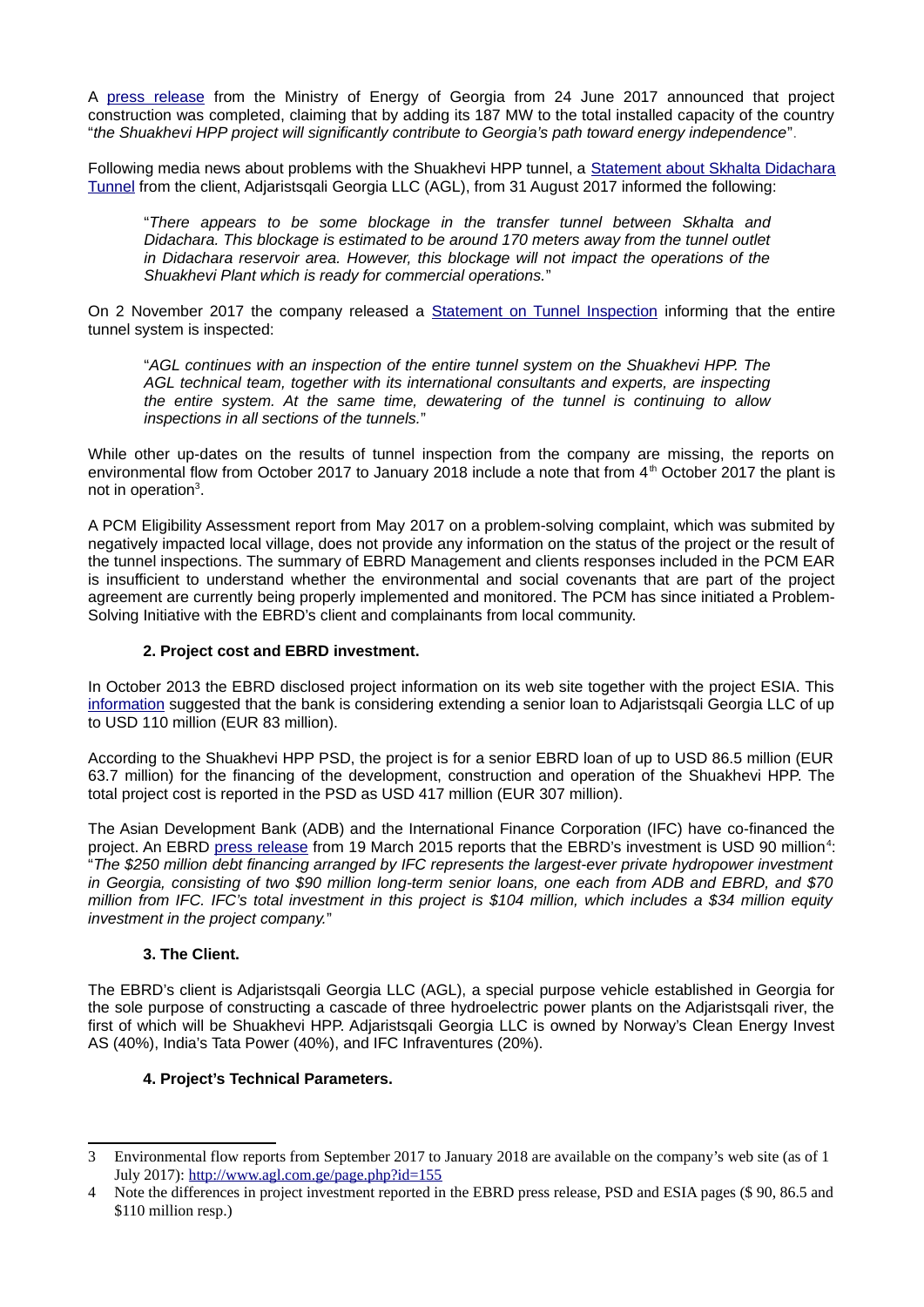A [press release](http://www.energy.gov.ge/show%20news%20mediacenter.php?id=721&lang=eng) from the Ministry of Energy of Georgia from 24 June 2017 announced that project construction was completed, claiming that by adding its 187 MW to the total installed capacity of the country "*the Shuakhevi HPP project will significantly contribute to Georgia's path toward energy independence*".

Following media news about problems with the Shuakhevi HPP tunnel, a [Statement about Skhalta Didachara](http://www.agl.com.ge/view_news.php?id=155) [Tunnel](http://www.agl.com.ge/view_news.php?id=155) from the client, Adjaristsqali Georgia LLC (AGL), from 31 August 2017 informed the following:

"*There appears to be some blockage in the transfer tunnel between Skhalta and Didachara. This blockage is estimated to be around 170 meters away from the tunnel outlet in Didachara reservoir area. However, this blockage will not impact the operations of the Shuakhevi Plant which is ready for commercial operations.*"

On 2 November 2017 the company released a [Statement on Tunnel Inspection](http://www.agl.com.ge/view_news.php?id=157) informing that the entire tunnel system is inspected:

"*AGL continues with an inspection of the entire tunnel system on the Shuakhevi HPP. The AGL technical team, together with its international consultants and experts, are inspecting the entire system. At the same time, dewatering of the tunnel is continuing to allow inspections in all sections of the tunnels.*"

While other up-dates on the results of tunnel inspection from the company are missing, the reports on environmental flow from October 2017 to January 2018 include a note that from  $4<sup>th</sup>$  October 2017 the plant is not in operation<sup>[3](#page-1-0)</sup>.

A PCM Eligibility Assessment report from May 2017 on a problem-solving complaint, which was submited by negatively impacted local village, does not provide any information on the status of the project or the result of the tunnel inspections. The summary of EBRD Management and clients responses included in the PCM EAR is insufficient to understand whether the environmental and social covenants that are part of the project agreement are currently being properly implemented and monitored. The PCM has since initiated a Problem-Solving Initiative with the EBRD's client and complainants from local community.

# **2. Project cost and EBRD investment.**

In October 2013 the EBRD disclosed project information on its web site together with the project ESIA. This [information](http://www.ebrd.com/work-with-us/projects/esia/shuakhevi-hpp.html) suggested that the bank is considering extending a senior loan to Adjaristsqali Georgia LLC of up to USD 110 million (EUR 83 million).

According to the Shuakhevi HPP PSD, the project is for a senior EBRD loan of up to USD 86.5 million (EUR 63.7 million) for the financing of the development, construction and operation of the Shuakhevi HPP. The total project cost is reported in the PSD as USD 417 million (EUR 307 million).

The Asian Development Bank (ADB) and the International Finance Corporation (IFC) have co-financed the project. An EBRD [press release](http://www.ebrd.com/cs/Satellite?c=Content&cid=1395243488679&d=Mobile&pagename=EBRD%2FContent%2FContentLayout) from 19 March 2015 reports that the EBRD's investment is USD 90 million<sup>[4](#page-1-1)</sup>: "*The \$250 million debt financing arranged by IFC represents the largest-ever private hydropower investment in Georgia, consisting of two \$90 million long-term senior loans, one each from ADB and EBRD, and \$70 million from IFC. IFC's total investment in this project is \$104 million, which includes a \$34 million equity investment in the project company.*"

## **3. The Client.**

The EBRD's client is Adjaristsqali Georgia LLC (AGL), a special purpose vehicle established in Georgia for the sole purpose of constructing a cascade of three hydroelectric power plants on the Adjaristsqali river, the first of which will be Shuakhevi HPP. Adjaristsqali Georgia LLC is owned by Norway's Clean Energy Invest AS (40%), India's Tata Power (40%), and IFC Infraventures (20%).

## **4. Project's Technical Parameters.**

<span id="page-1-0"></span><sup>3</sup> Environmental flow reports from September 2017 to January 2018 are available on the company's web site (as of 1 July 2017):<http://www.agl.com.ge/page.php?id=155>

<span id="page-1-1"></span><sup>4</sup> Note the differences in project investment reported in the EBRD press release, PSD and ESIA pages (\$ 90, 86.5 and \$110 million resp.)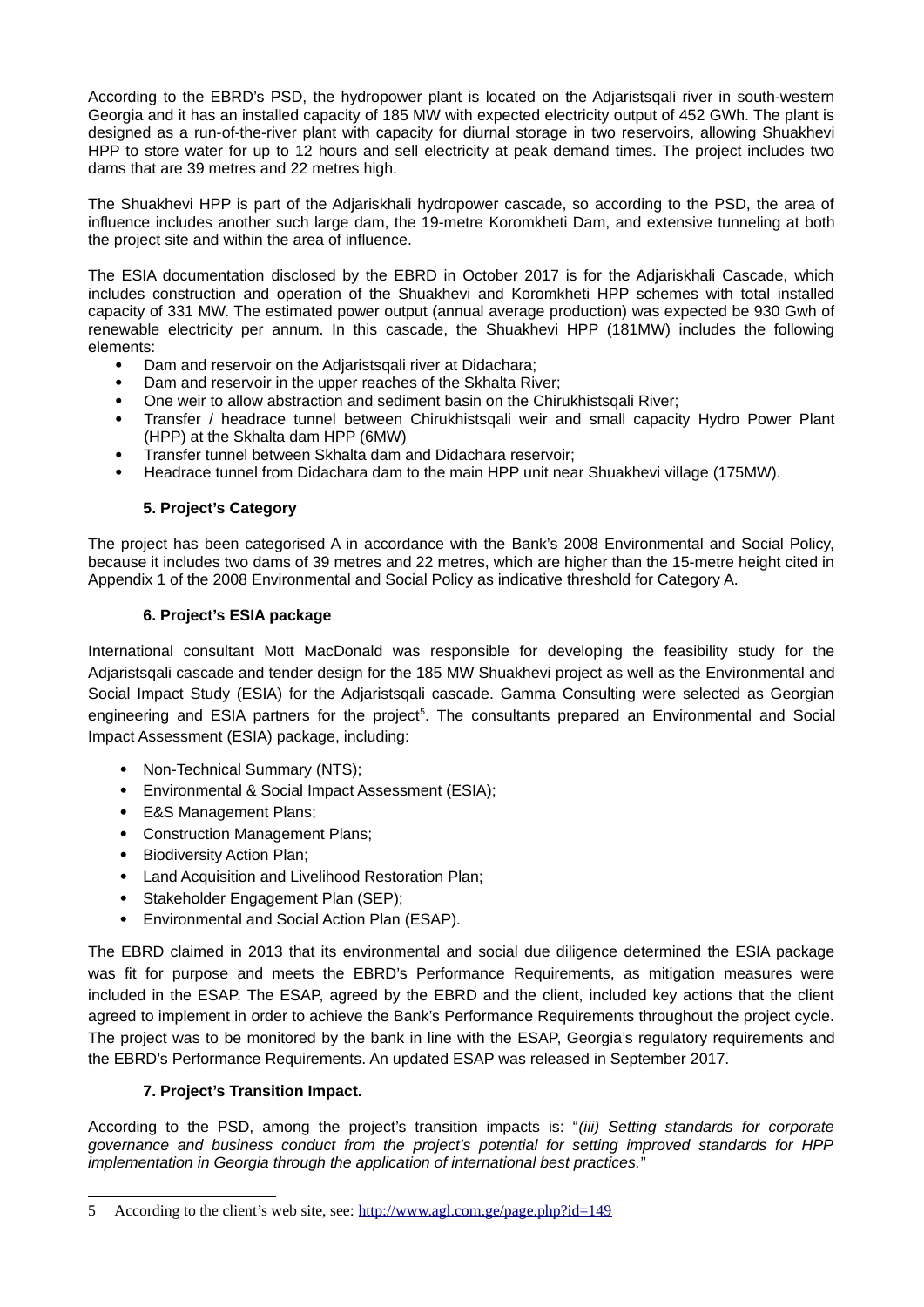According to the EBRD's PSD, the hydropower plant is located on the Adjaristsqali river in south-western Georgia and it has an installed capacity of 185 MW with expected electricity output of 452 GWh. The plant is designed as a run-of-the-river plant with capacity for diurnal storage in two reservoirs, allowing Shuakhevi HPP to store water for up to 12 hours and sell electricity at peak demand times. The project includes two dams that are 39 metres and 22 metres high.

The Shuakhevi HPP is part of the Adjariskhali hydropower cascade, so according to the PSD, the area of influence includes another such large dam, the 19-metre Koromkheti Dam, and extensive tunneling at both the project site and within the area of influence.

The ESIA documentation disclosed by the EBRD in October 2017 is for the Adjariskhali Cascade, which includes construction and operation of the Shuakhevi and Koromkheti HPP schemes with total installed capacity of 331 MW. The estimated power output (annual average production) was expected be 930 Gwh of renewable electricity per annum. In this cascade, the Shuakhevi HPP (181MW) includes the following elements:

- Dam and reservoir on the Adjaristsqali river at Didachara;
- Dam and reservoir in the upper reaches of the Skhalta River;
- One weir to allow abstraction and sediment basin on the Chirukhistsqali River;
- Transfer / headrace tunnel between Chirukhistsqali weir and small capacity Hydro Power Plant (HPP) at the Skhalta dam HPP (6MW)
- Transfer tunnel between Skhalta dam and Didachara reservoir;
- Headrace tunnel from Didachara dam to the main HPP unit near Shuakhevi village (175MW).

# **5. Project's Category**

The project has been categorised A in accordance with the Bank's 2008 Environmental and Social Policy, because it includes two dams of 39 metres and 22 metres, which are higher than the 15-metre height cited in Appendix 1 of the 2008 Environmental and Social Policy as indicative threshold for Category A.

## **6. Project's ESIA package**

International consultant Mott MacDonald was responsible for developing the feasibility study for the Adjaristsqali cascade and tender design for the 185 MW Shuakhevi project as well as the Environmental and Social Impact Study (ESIA) for the Adjaristsqali cascade. Gamma Consulting were selected as Georgian engineering and ESIA partners for the project<sup>[5](#page-2-0)</sup>. The consultants prepared an Environmental and Social Impact Assessment (ESIA) package, including:

- Non-Technical Summary (NTS);
- Environmental & Social Impact Assessment (ESIA);
- E&S Management Plans;
- Construction Management Plans;
- Biodiversity Action Plan;
- Land Acquisition and Livelihood Restoration Plan;
- Stakeholder Engagement Plan (SEP);
- Environmental and Social Action Plan (ESAP).

The EBRD claimed in 2013 that its environmental and social due diligence determined the ESIA package was fit for purpose and meets the EBRD's Performance Requirements, as mitigation measures were included in the ESAP. The ESAP, agreed by the EBRD and the client, included key actions that the client agreed to implement in order to achieve the Bank's Performance Requirements throughout the project cycle. The project was to be monitored by the bank in line with the ESAP, Georgia's regulatory requirements and the EBRD's Performance Requirements. An updated ESAP was released in September 2017.

## **7. Project's Transition Impact.**

According to the PSD, among the project's transition impacts is: "*(iii) Setting standards for corporate governance and business conduct from the project's potential for setting improved standards for HPP implementation in Georgia through the application of international best practices.*"

<span id="page-2-0"></span><sup>5</sup> According to the client's web site, see:<http://www.agl.com.ge/page.php?id=149>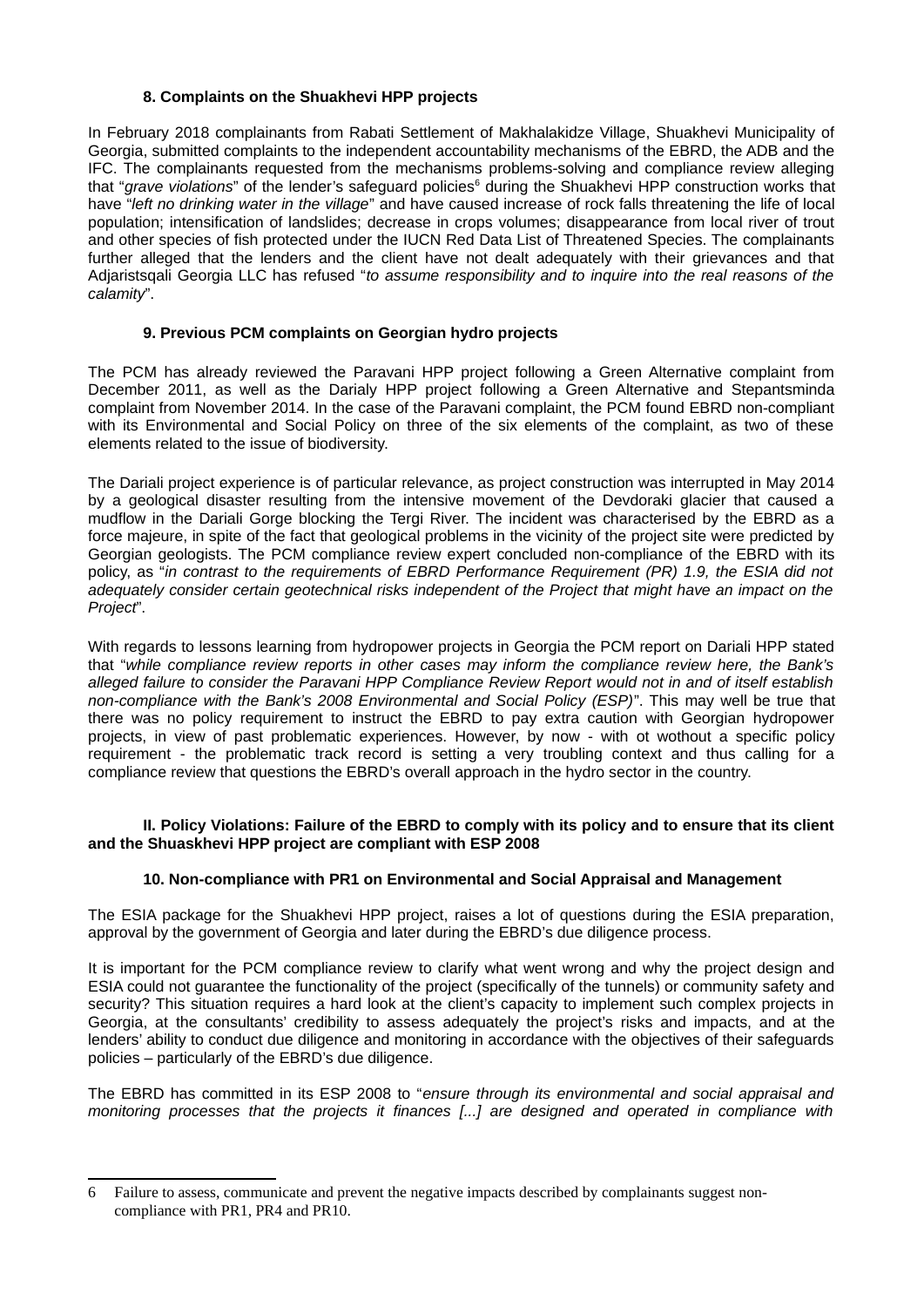### **8. Complaints on the Shuakhevi HPP projects**

In February 2018 complainants from Rabati Settlement of Makhalakidze Village, Shuakhevi Municipality of Georgia, submitted complaints to the independent accountability mechanisms of the EBRD, the ADB and the IFC. The complainants requested from the mechanisms problems-solving and compliance review alleging that "grave violations" of the lender's safeguard policies<sup>[6](#page-3-0)</sup> during the Shuakhevi HPP construction works that have "*left no drinking water in the village*" and have caused increase of rock falls threatening the life of local population; intensification of landslides; decrease in crops volumes; disappearance from local river of trout and other species of fish protected under the IUCN Red Data List of Threatened Species. The complainants further alleged that the lenders and the client have not dealt adequately with their grievances and that Adjaristsqali Georgia LLC has refused "*to assume responsibility and to inquire into the real reasons of the calamity*".

## **9. Previous PCM complaints on Georgian hydro projects**

The PCM has already reviewed the Paravani HPP project following a Green Alternative complaint from December 2011, as well as the Darialy HPP project following a Green Alternative and Stepantsminda complaint from November 2014. In the case of the Paravani complaint, the PCM found EBRD non-compliant with its Environmental and Social Policy on three of the six elements of the complaint, as two of these elements related to the issue of biodiversity.

The Dariali project experience is of particular relevance, as project construction was interrupted in May 2014 by a geological disaster resulting from the intensive movement of the Devdoraki glacier that caused a mudflow in the Dariali Gorge blocking the Tergi River. The incident was characterised by the EBRD as a force majeure, in spite of the fact that geological problems in the vicinity of the project site were predicted by Georgian geologists. The PCM compliance review expert concluded non-compliance of the EBRD with its policy, as "*in contrast to the requirements of EBRD Performance Requirement (PR) 1.9, the ESIA did not adequately consider certain geotechnical risks independent of the Project that might have an impact on the Project*".

With regards to lessons learning from hydropower projects in Georgia the PCM report on Dariali HPP stated that "*while compliance review reports in other cases may inform the compliance review here, the Bank's alleged failure to consider the Paravani HPP Compliance Review Report would not in and of itself establish non-compliance with the Bank's 2008 Environmental and Social Policy (ESP)*". This may well be true that there was no policy requirement to instruct the EBRD to pay extra caution with Georgian hydropower projects, in view of past problematic experiences. However, by now - with ot wothout a specific policy requirement - the problematic track record is setting a very troubling context and thus calling for a compliance review that questions the EBRD's overall approach in the hydro sector in the country.

### **II. Policy Violations: Failure of the EBRD to comply with its policy and to ensure that its client and the Shuaskhevi HPP project are compliant with ESP 2008**

## **10. Non-compliance with PR1 on Environmental and Social Appraisal and Management**

The ESIA package for the Shuakhevi HPP project, raises a lot of questions during the ESIA preparation, approval by the government of Georgia and later during the EBRD's due diligence process.

It is important for the PCM compliance review to clarify what went wrong and why the project design and ESIA could not guarantee the functionality of the project (specifically of the tunnels) or community safety and security? This situation requires a hard look at the client's capacity to implement such complex projects in Georgia, at the consultants' credibility to assess adequately the project's risks and impacts, and at the lenders' ability to conduct due diligence and monitoring in accordance with the objectives of their safeguards policies – particularly of the EBRD's due diligence.

The EBRD has committed in its ESP 2008 to "*ensure through its environmental and social appraisal and monitoring processes that the projects it finances [...] are designed and operated in compliance with*

<span id="page-3-0"></span><sup>6</sup> Failure to assess, communicate and prevent the negative impacts described by complainants suggest noncompliance with PR1, PR4 and PR10.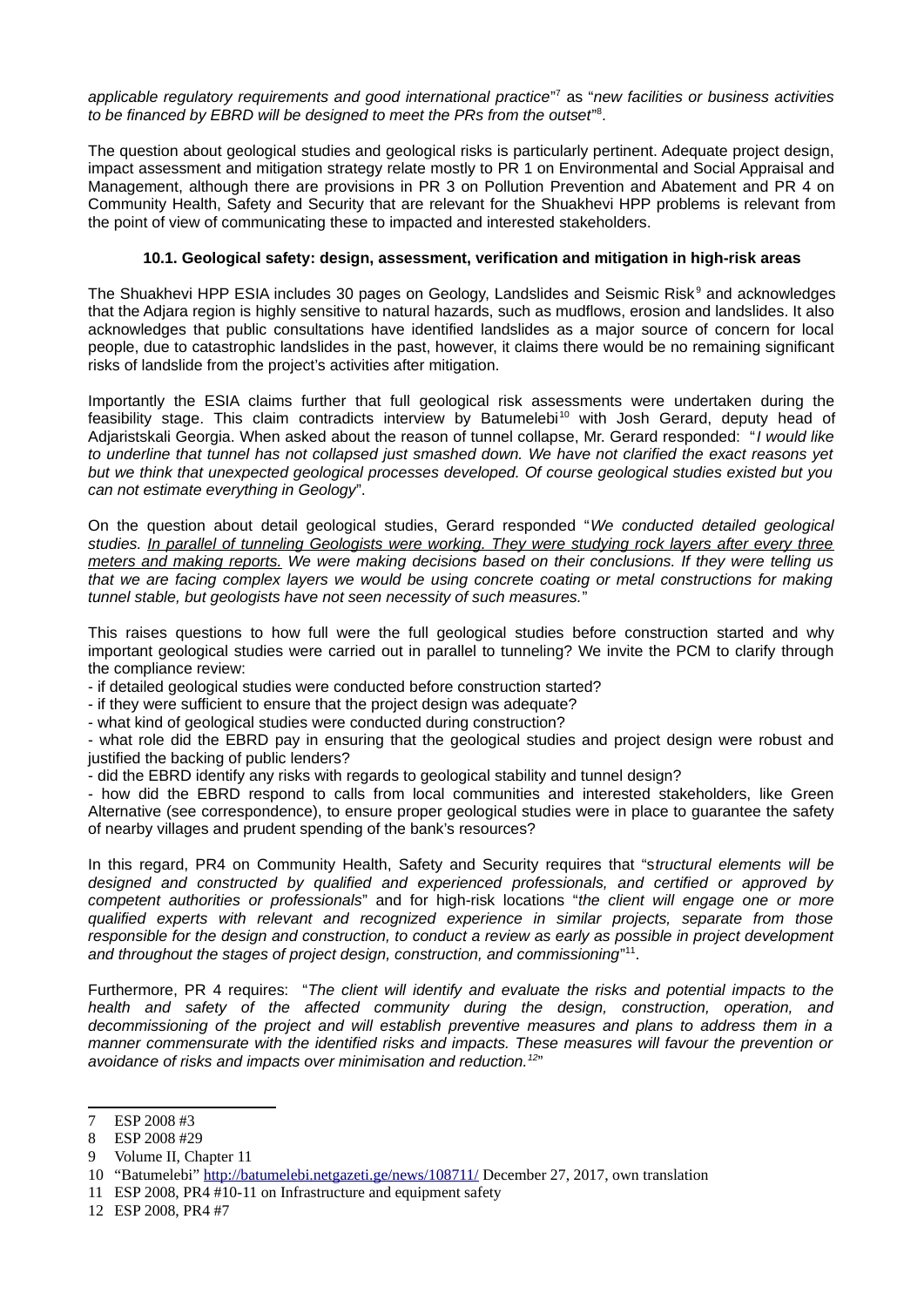*applicable regulatory requirements and good international practice*" [7](#page-4-0) as "*new facilities or business activities to be financed by EBRD will be designed to meet the PRs from the outset*" [8](#page-4-1) .

The question about geological studies and geological risks is particularly pertinent. Adequate project design, impact assessment and mitigation strategy relate mostly to PR 1 on Environmental and Social Appraisal and Management, although there are provisions in PR 3 on Pollution Prevention and Abatement and PR 4 on Community Health, Safety and Security that are relevant for the Shuakhevi HPP problems is relevant from the point of view of communicating these to impacted and interested stakeholders.

## **10.1. Geological safety: design, assessment, verification and mitigation in high-risk areas**

The Shuakhevi HPP ESIA includes 30 pages on Geology, Landslides and Seismic Risk<sup>[9](#page-4-2)</sup> and acknowledges that the Adjara region is highly sensitive to natural hazards, such as mudflows, erosion and landslides. It also acknowledges that public consultations have identified landslides as a major source of concern for local people, due to catastrophic landslides in the past, however, it claims there would be no remaining significant risks of landslide from the project's activities after mitigation.

Importantly the ESIA claims further that full geological risk assessments were undertaken during the feasibility stage. This claim contradicts interview by Batumelebi<sup>[10](#page-4-3)</sup> with Josh Gerard, deputy head of Adjaristskali Georgia. When asked about the reason of tunnel collapse, Mr. Gerard responded: "*I would like to underline that tunnel has not collapsed just smashed down. We have not clarified the exact reasons yet but we think that unexpected geological processes developed. Of course geological studies existed but you can not estimate everything in Geology*".

On the question about detail geological studies, Gerard responded "*We conducted detailed geological studies. In parallel of tunneling Geologists were working. They were studying rock layers after every three meters and making reports. We were making decisions based on their conclusions. If they were telling us that we are facing complex layers we would be using concrete coating or metal constructions for making tunnel stable, but geologists have not seen necessity of such measures.*"

This raises questions to how full were the full geological studies before construction started and why important geological studies were carried out in parallel to tunneling? We invite the PCM to clarify through the compliance review:

- if detailed geological studies were conducted before construction started?

- if they were sufficient to ensure that the project design was adequate?

- what kind of geological studies were conducted during construction?

- what role did the EBRD pay in ensuring that the geological studies and project design were robust and justified the backing of public lenders?

- did the EBRD identify any risks with regards to geological stability and tunnel design?

- how did the EBRD respond to calls from local communities and interested stakeholders, like Green Alternative (see correspondence), to ensure proper geological studies were in place to guarantee the safety of nearby villages and prudent spending of the bank's resources?

In this regard, PR4 on Community Health, Safety and Security requires that "s*tructural elements will be designed and constructed by qualified and experienced professionals, and certified or approved by competent authorities or professionals*" and for high-risk locations "*the client will engage one or more qualified experts with relevant and recognized experience in similar projects, separate from those responsible for the design and construction, to conduct a review as early as possible in project development* and throughout the stages of project design, construction, and commissioning"<sup>[11](#page-4-4)</sup>.

Furthermore, PR 4 requires: "*The client will identify and evaluate the risks and potential impacts to the health and safety of the affected community during the design, construction, operation, and decommissioning of the project and will establish preventive measures and plans to address them in a manner commensurate with the identified risks and impacts. These measures will favour the prevention or avoidance of risks and impacts over minimisation and reduction.[12](#page-4-5)*"

<span id="page-4-5"></span>12 ESP 2008, PR4 #7

<span id="page-4-0"></span><sup>7</sup> ESP 2008 #3

<span id="page-4-1"></span><sup>8</sup> ESP 2008 #29

<span id="page-4-2"></span><sup>9</sup> Volume II, Chapter 11

<span id="page-4-3"></span><sup>10</sup> "Batumelebi"<http://batumelebi.netgazeti.ge/news/108711/>December 27, 2017, own translation

<span id="page-4-4"></span><sup>11</sup> ESP 2008, PR4 #10-11 on Infrastructure and equipment safety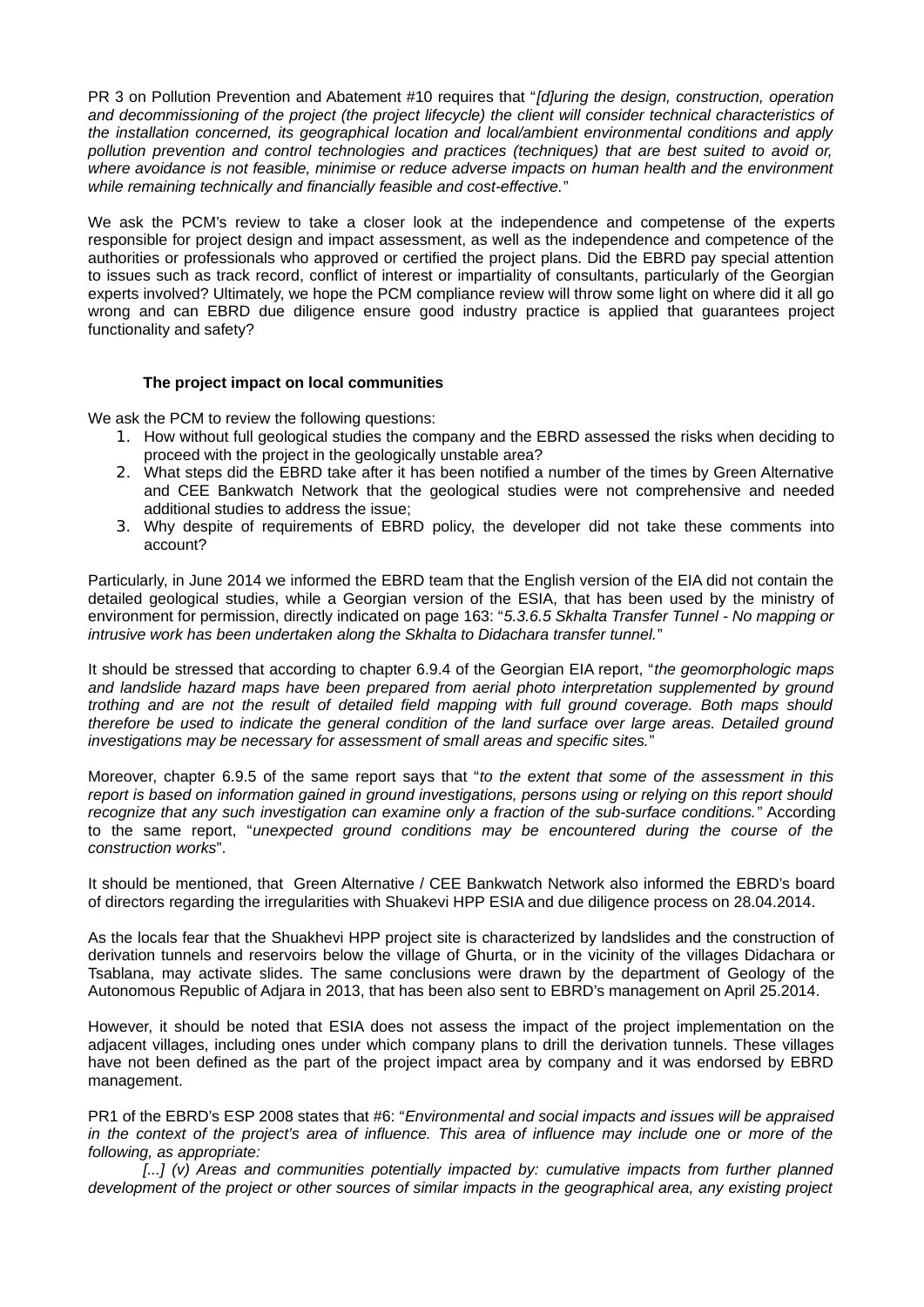PR 3 on Pollution Prevention and Abatement #10 requires that "*[d]uring the design, construction, operation and decommissioning of the project (the project lifecycle) the client will consider technical characteristics of the installation concerned, its geographical location and local/ambient environmental conditions and apply pollution prevention and control technologies and practices (techniques) that are best suited to avoid or, where avoidance is not feasible, minimise or reduce adverse impacts on human health and the environment while remaining technically and financially feasible and cost-effective.*"

We ask the PCM's review to take a closer look at the independence and competense of the experts responsible for project design and impact assessment, as well as the independence and competence of the authorities or professionals who approved or certified the project plans. Did the EBRD pay special attention to issues such as track record, conflict of interest or impartiality of consultants, particularly of the Georgian experts involved? Ultimately, we hope the PCM compliance review will throw some light on where did it all go wrong and can EBRD due diligence ensure good industry practice is applied that guarantees project functionality and safety?

#### **The project impact on local communities**

We ask the PCM to review the following questions:

- 1. How without full geological studies the company and the EBRD assessed the risks when deciding to proceed with the project in the geologically unstable area?
- 2. What steps did the EBRD take after it has been notified a number of the times by Green Alternative and CEE Bankwatch Network that the geological studies were not comprehensive and needed additional studies to address the issue;
- 3. Why despite of requirements of EBRD policy, the developer did not take these comments into account?

Particularly, in June 2014 we informed the EBRD team that the English version of the EIA did not contain the detailed geological studies, while a Georgian version of the ESIA, that has been used by the ministry of environment for permission, directly indicated on page 163: "*5.3.6.5 Skhalta Transfer Tunnel - No mapping or intrusive work has been undertaken along the Skhalta to Didachara transfer tunnel.*"

It should be stressed that according to chapter 6.9.4 of the Georgian EIA report, "*the geomorphologic maps and landslide hazard maps have been prepared from aerial photo interpretation supplemented by ground trothing and are not the result of detailed field mapping with full ground coverage. Both maps should therefore be used to indicate the general condition of the land surface over large areas. Detailed ground investigations may be necessary for assessment of small areas and specific sites.*"

Moreover, chapter 6.9.5 of the same report says that "*to the extent that some of the assessment in this report is based on information gained in ground investigations, persons using or relying on this report should recognize that any such investigation can examine only a fraction of the sub-surface conditions.*" According to the same report, "*unexpected ground conditions may be encountered during the course of the construction works*".

It should be mentioned, that Green Alternative / CEE Bankwatch Network also informed the EBRD's board of directors regarding the irregularities with Shuakevi HPP ESIA and due diligence process on 28.04.2014.

As the locals fear that the Shuakhevi HPP project site is characterized by landslides and the construction of derivation tunnels and reservoirs below the village of Ghurta, or in the vicinity of the villages Didachara or Tsablana, may activate slides. The same conclusions were drawn by the department of Geology of the Autonomous Republic of Adjara in 2013, that has been also sent to EBRD's management on April 25.2014.

However, it should be noted that ESIA does not assess the impact of the project implementation on the adjacent villages, including ones under which company plans to drill the derivation tunnels. These villages have not been defined as the part of the project impact area by company and it was endorsed by EBRD management.

PR1 of the EBRD's ESP 2008 states that #6: "*Environmental and social impacts and issues will be appraised in the context of the project's area of influence. This area of influence may include one or more of the following, as appropriate:* 

*[...] (v) Areas and communities potentially impacted by: cumulative impacts from further planned development of the project or other sources of similar impacts in the geographical area, any existing project*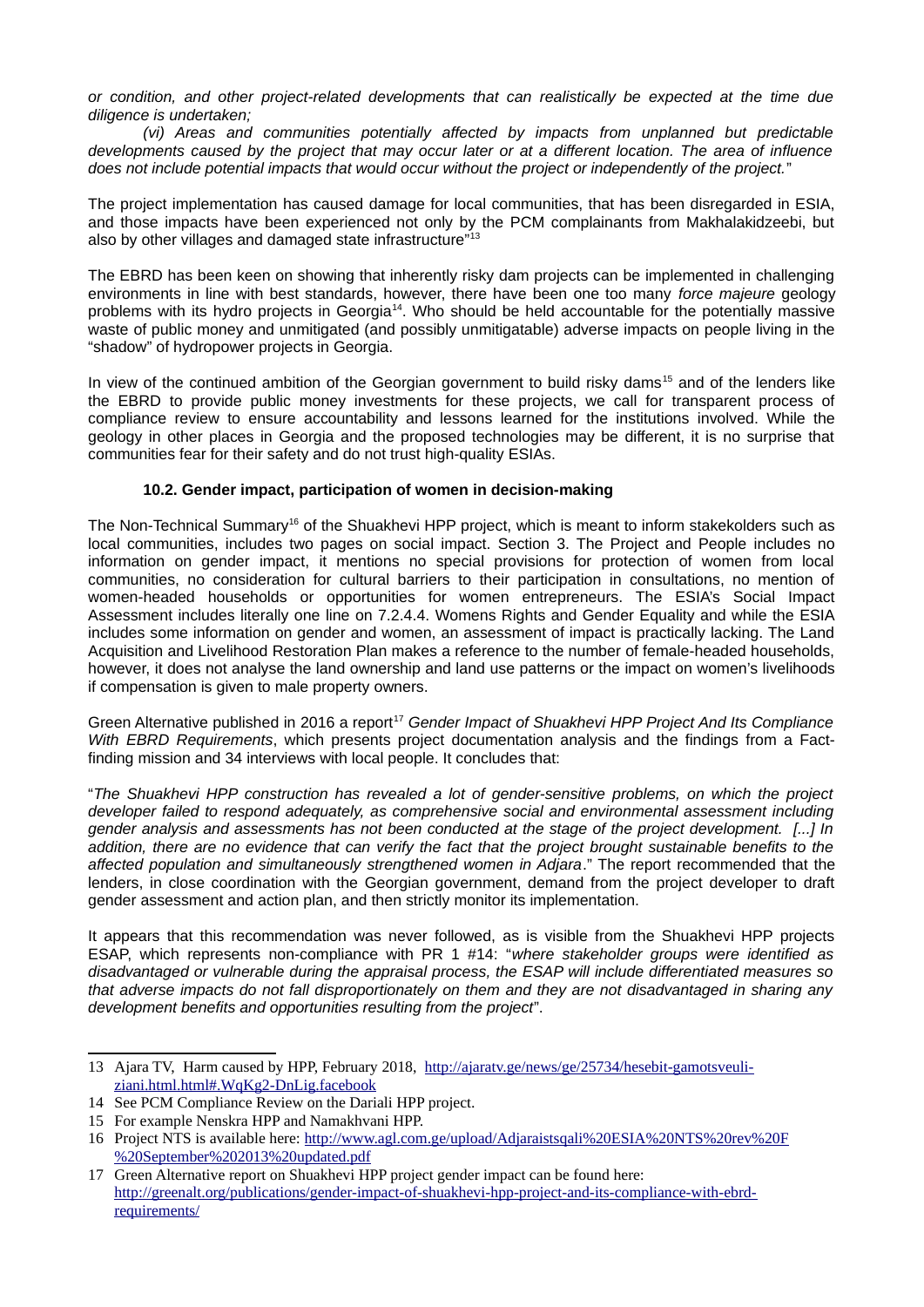*or condition, and other project-related developments that can realistically be expected at the time due diligence is undertaken;* 

*(vi) Areas and communities potentially affected by impacts from unplanned but predictable developments caused by the project that may occur later or at a different location. The area of influence does not include potential impacts that would occur without the project or independently of the project.*"

The project implementation has caused damage for local communities, that has been disregarded in ESIA, and those impacts have been experienced not only by the PCM complainants from Makhalakidzeebi, but also by other villages and damaged state infrastructure"<sup>[13](#page-6-0)</sup>

The EBRD has been keen on showing that inherently risky dam projects can be implemented in challenging environments in line with best standards, however, there have been one too many *force majeure* geology problems with its hydro projects in Georgia[14](#page-6-1). Who should be held accountable for the potentially massive waste of public money and unmitigated (and possibly unmitigatable) adverse impacts on people living in the "shadow" of hydropower projects in Georgia.

In view of the continued ambition of the Georgian government to build risky dams<sup>[15](#page-6-2)</sup> and of the lenders like the EBRD to provide public money investments for these projects, we call for transparent process of compliance review to ensure accountability and lessons learned for the institutions involved. While the geology in other places in Georgia and the proposed technologies may be different, it is no surprise that communities fear for their safety and do not trust high-quality ESIAs.

### **10.2. Gender impact, participation of women in decision-making**

The Non-Technical Summary<sup>[16](#page-6-3)</sup> of the Shuakhevi HPP project, which is meant to inform stakekolders such as local communities, includes two pages on social impact. Section 3. The Project and People includes no information on gender impact, it mentions no special provisions for protection of women from local communities, no consideration for cultural barriers to their participation in consultations, no mention of women-headed households or opportunities for women entrepreneurs. The ESIA's Social Impact Assessment includes literally one line on 7.2.4.4. Womens Rights and Gender Equality and while the ESIA includes some information on gender and women, an assessment of impact is practically lacking. The Land Acquisition and Livelihood Restoration Plan makes a reference to the number of female-headed households, however, it does not analyse the land ownership and land use patterns or the impact on women's livelihoods if compensation is given to male property owners.

Green Alternative published in 2016 a report<sup>[17](#page-6-4)</sup> Gender Impact of Shuakhevi HPP Project And Its Compliance *With EBRD Requirements*, which presents project documentation analysis and the findings from a Factfinding mission and 34 interviews with local people. It concludes that:

"*The Shuakhevi HPP construction has revealed a lot of gender-sensitive problems, on which the project developer failed to respond adequately, as comprehensive social and environmental assessment including gender analysis and assessments has not been conducted at the stage of the project development. [...] In addition, there are no evidence that can verify the fact that the project brought sustainable benefits to the affected population and simultaneously strengthened women in Adjara*." The report recommended that the lenders, in close coordination with the Georgian government, demand from the project developer to draft gender assessment and action plan, and then strictly monitor its implementation.

It appears that this recommendation was never followed, as is visible from the Shuakhevi HPP projects ESAP, which represents non-compliance with PR 1 #14: "*where stakeholder groups were identified as disadvantaged or vulnerable during the appraisal process, the ESAP will include differentiated measures so that adverse impacts do not fall disproportionately on them and they are not disadvantaged in sharing any development benefits and opportunities resulting from the project*".

<span id="page-6-0"></span><sup>13</sup> Ajara TV, Harm caused by HPP, February 2018, [http://ajaratv.ge/news/ge/25734/hesebit-gamotsveuli](http://ajaratv.ge/news/ge/25734/hesebit-gamotsveuli-ziani.html.html#.WqKg2-DnLig.facebook)[ziani.html.html#.WqKg2-DnLig.facebook](http://ajaratv.ge/news/ge/25734/hesebit-gamotsveuli-ziani.html.html#.WqKg2-DnLig.facebook)

<span id="page-6-1"></span><sup>14</sup> See PCM Compliance Review on the Dariali HPP project.

<span id="page-6-2"></span><sup>15</sup> For example Nenskra HPP and Namakhvani HPP.

<span id="page-6-3"></span><sup>16</sup> Project NTS is available here: [http://www.agl.com.ge/upload/Adjaraistsqali%20ESIA%20NTS%20rev%20F](http://www.agl.com.ge/upload/Adjaraistsqali%20ESIA%20NTS%20rev%20F%20September%202013%20updated.pdf) [%20September%202013%20updated.pdf](http://www.agl.com.ge/upload/Adjaraistsqali%20ESIA%20NTS%20rev%20F%20September%202013%20updated.pdf)

<span id="page-6-4"></span><sup>17</sup> Green Alternative report on Shuakhevi HPP project gender impact can be found here: [http://greenalt.org/publications/gender-impact-of-shuakhevi-hpp-project-and-its-compliance-with-ebrd](http://greenalt.org/publications/gender-impact-of-shuakhevi-hpp-project-and-its-compliance-with-ebrd-requirements/)[requirements/](http://greenalt.org/publications/gender-impact-of-shuakhevi-hpp-project-and-its-compliance-with-ebrd-requirements/)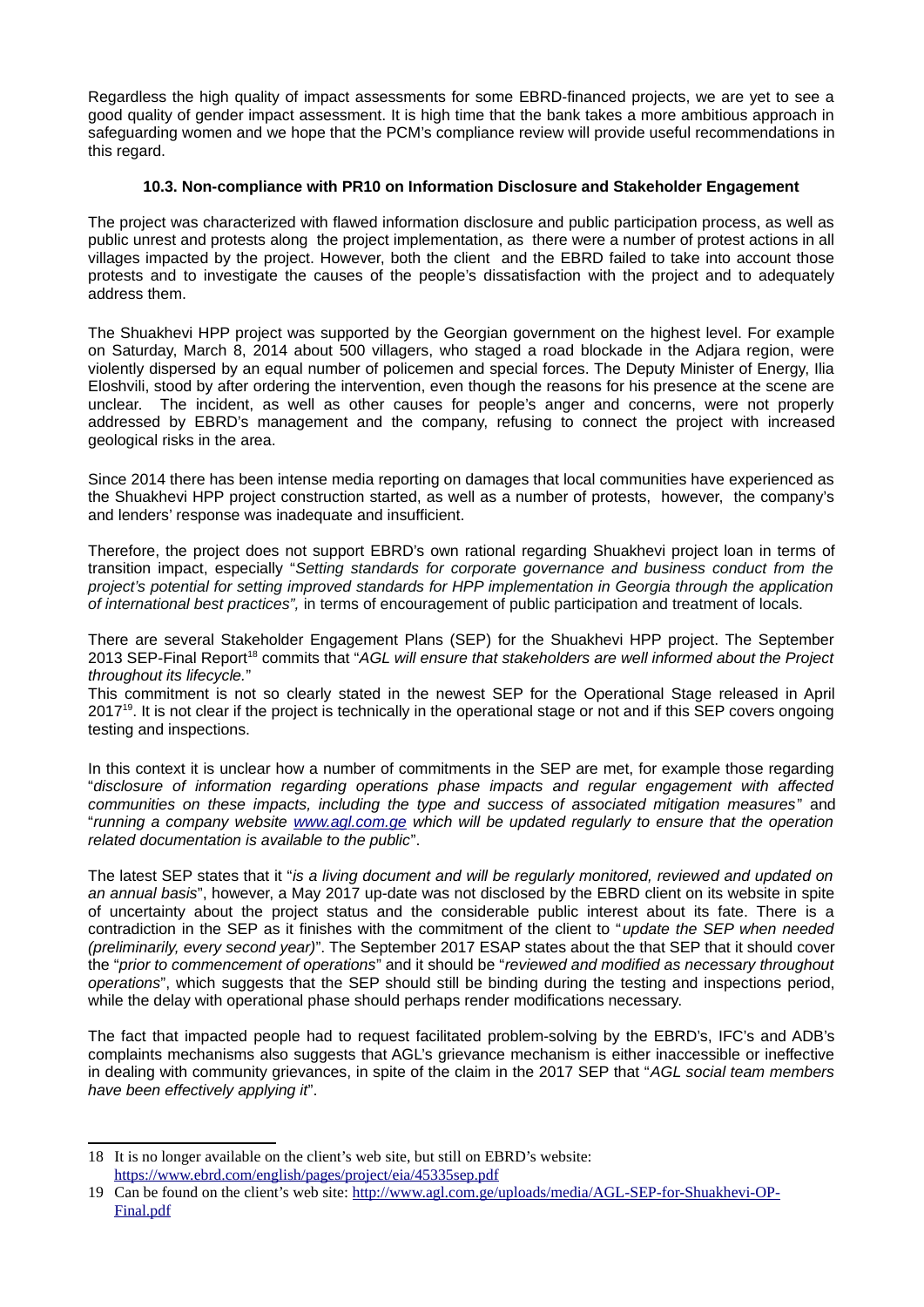Regardless the high quality of impact assessments for some EBRD-financed projects, we are yet to see a good quality of gender impact assessment. It is high time that the bank takes a more ambitious approach in safeguarding women and we hope that the PCM's compliance review will provide useful recommendations in this regard.

## **10.3. Non-compliance with PR10 on Information Disclosure and Stakeholder Engagement**

The project was characterized with flawed information disclosure and public participation process, as well as public unrest and protests along the project implementation, as there were a number of protest actions in all villages impacted by the project. However, both the client and the EBRD failed to take into account those protests and to investigate the causes of the people's dissatisfaction with the project and to adequately address them.

The Shuakhevi HPP project was supported by the Georgian government on the highest level. For example on Saturday, March 8, 2014 about 500 villagers, who staged a road blockade in the Adjara region, were violently dispersed by an equal number of policemen and special forces. The Deputy Minister of Energy, Ilia Eloshvili, stood by after ordering the intervention, even though the reasons for his presence at the scene are unclear. The incident, as well as other causes for people's anger and concerns, were not properly addressed by EBRD's management and the company, refusing to connect the project with increased geological risks in the area.

Since 2014 there has been intense media reporting on damages that local communities have experienced as the Shuakhevi HPP project construction started, as well as a number of protests, however, the company's and lenders' response was inadequate and insufficient.

Therefore, the project does not support EBRD's own rational regarding Shuakhevi project loan in terms of transition impact, especially "*Setting standards for corporate governance and business conduct from the project's potential for setting improved standards for HPP implementation in Georgia through the application of international best practices",* in terms of encouragement of public participation and treatment of locals.

There are several Stakeholder Engagement Plans (SEP) for the Shuakhevi HPP project. The September 2013 SEP-Final Report[18](#page-7-0) commits that "*AGL will ensure that stakeholders are well informed about the Project throughout its lifecycle.*"

This commitment is not so clearly stated in the newest SEP for the Operational Stage released in April 2017<sup>[19](#page-7-1)</sup>. It is not clear if the project is technically in the operational stage or not and if this SEP covers ongoing testing and inspections.

In this context it is unclear how a number of commitments in the SEP are met, for example those regarding "*disclosure of information regarding operations phase impacts and regular engagement with affected communities on these impacts, including the type and success of associated mitigation measures*" and "*running a company website [www.agl.com.ge](http://www.agl.com.ge/) which will be updated regularly to ensure that the operation related documentation is available to the public*".

The latest SEP states that it "*is a living document and will be regularly monitored, reviewed and updated on an annual basis*", however, a May 2017 up-date was not disclosed by the EBRD client on its website in spite of uncertainty about the project status and the considerable public interest about its fate. There is a contradiction in the SEP as it finishes with the commitment of the client to "*update the SEP when needed (preliminarily, every second year)*". The September 2017 ESAP states about the that SEP that it should cover the "*prior to commencement of operations*" and it should be "*reviewed and modified as necessary throughout operations*", which suggests that the SEP should still be binding during the testing and inspections period, while the delay with operational phase should perhaps render modifications necessary.

The fact that impacted people had to request facilitated problem-solving by the EBRD's, IFC's and ADB's complaints mechanisms also suggests that AGL's grievance mechanism is either inaccessible or ineffective in dealing with community grievances, in spite of the claim in the 2017 SEP that "*AGL social team members have been effectively applying it*".

<span id="page-7-0"></span><sup>18</sup> It is no longer available on the client's web site, but still on EBRD's website: <https://www.ebrd.com/english/pages/project/eia/45335sep.pdf>

<span id="page-7-1"></span><sup>19</sup> Can be found on the client's web site: [http://www.agl.com.ge/uploads/media/AGL-SEP-for-Shuakhevi-OP-](http://www.agl.com.ge/uploads/media/AGL-SEP-for-Shuakhevi-OP-Final.pdf)[Final.pdf](http://www.agl.com.ge/uploads/media/AGL-SEP-for-Shuakhevi-OP-Final.pdf)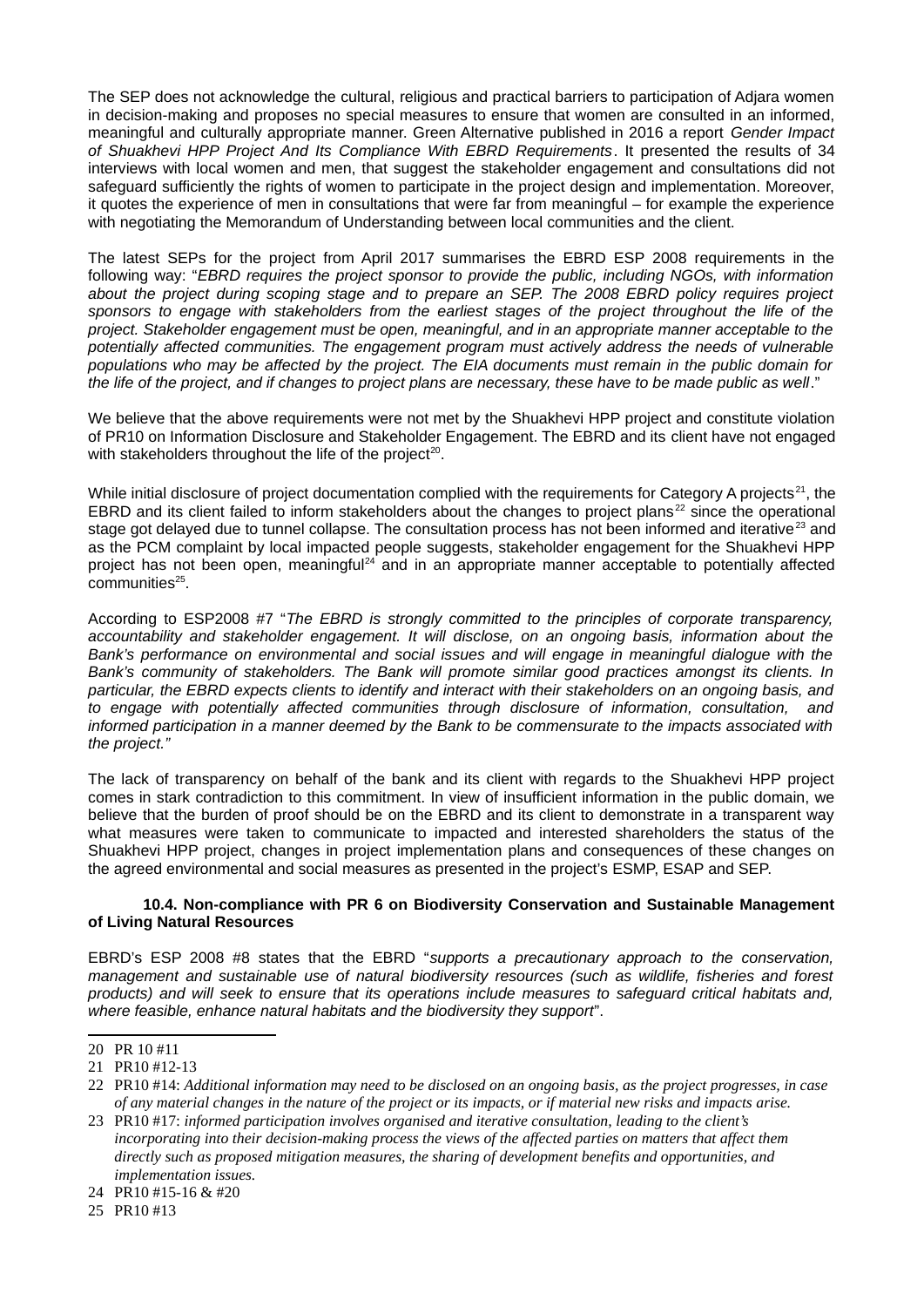The SEP does not acknowledge the cultural, religious and practical barriers to participation of Adjara women in decision-making and proposes no special measures to ensure that women are consulted in an informed, meaningful and culturally appropriate manner. Green Alternative published in 2016 a report *Gender Impact of Shuakhevi HPP Project And Its Compliance With EBRD Requirements*. It presented the results of 34 interviews with local women and men, that suggest the stakeholder engagement and consultations did not safeguard sufficiently the rights of women to participate in the project design and implementation. Moreover, it quotes the experience of men in consultations that were far from meaningful – for example the experience with negotiating the Memorandum of Understanding between local communities and the client.

The latest SEPs for the project from April 2017 summarises the EBRD ESP 2008 requirements in the following way: "*EBRD requires the project sponsor to provide the public, including NGOs, with information about the project during scoping stage and to prepare an SEP. The 2008 EBRD policy requires project sponsors to engage with stakeholders from the earliest stages of the project throughout the life of the project. Stakeholder engagement must be open, meaningful, and in an appropriate manner acceptable to the potentially affected communities. The engagement program must actively address the needs of vulnerable populations who may be affected by the project. The EIA documents must remain in the public domain for the life of the project, and if changes to project plans are necessary, these have to be made public as well*."

We believe that the above requirements were not met by the Shuakhevi HPP project and constitute violation of PR10 on Information Disclosure and Stakeholder Engagement. The EBRD and its client have not engaged with stakeholders throughout the life of the project $^{20}$  $^{20}$  $^{20}$ .

While initial disclosure of project documentation complied with the requirements for Category A projects<sup>[21](#page-8-1)</sup>, the EBRD and its client failed to inform stakeholders about the changes to project plans<sup>[22](#page-8-2)</sup> since the operational stage got delayed due to tunnel collapse. The consultation process has not been informed and iterative<sup>[23](#page-8-3)</sup> and as the PCM complaint by local impacted people suggests, stakeholder engagement for the Shuakhevi HPP project has not been open, meaningful<sup>[24](#page-8-4)</sup> and in an appropriate manner acceptable to potentially affected communities<sup>[25](#page-8-5)</sup>.

According to ESP2008 #7 "*The EBRD is strongly committed to the principles of corporate transparency, accountability and stakeholder engagement. It will disclose, on an ongoing basis, information about the Bank's performance on environmental and social issues and will engage in meaningful dialogue with the Bank's community of stakeholders. The Bank will promote similar good practices amongst its clients. In particular, the EBRD expects clients to identify and interact with their stakeholders on an ongoing basis, and to engage with potentially affected communities through disclosure of information, consultation, and informed participation in a manner deemed by the Bank to be commensurate to the impacts associated with the project."*

The lack of transparency on behalf of the bank and its client with regards to the Shuakhevi HPP project comes in stark contradiction to this commitment. In view of insufficient information in the public domain, we believe that the burden of proof should be on the EBRD and its client to demonstrate in a transparent way what measures were taken to communicate to impacted and interested shareholders the status of the Shuakhevi HPP project, changes in project implementation plans and consequences of these changes on the agreed environmental and social measures as presented in the project's ESMP, ESAP and SEP.

### **10.4. Non-compliance with PR 6 on Biodiversity Conservation and Sustainable Management of Living Natural Resources**

EBRD's ESP 2008 #8 states that the EBRD "*supports a precautionary approach to the conservation, management and sustainable use of natural biodiversity resources (such as wildlife, fisheries and forest products) and will seek to ensure that its operations include measures to safeguard critical habitats and, where feasible, enhance natural habitats and the biodiversity they support*".

<span id="page-8-5"></span>25 PR10 #13

<span id="page-8-0"></span><sup>20</sup> PR 10 #11

<span id="page-8-1"></span><sup>21</sup> PR10 #12-13

<span id="page-8-2"></span><sup>22</sup> PR10 #14: *Additional information may need to be disclosed on an ongoing basis, as the project progresses, in case of any material changes in the nature of the project or its impacts, or if material new risks and impacts arise.* 

<span id="page-8-3"></span><sup>23</sup> PR10 #17: *informed participation involves organised and iterative consultation, leading to the client's incorporating into their decision-making process the views of the affected parties on matters that affect them directly such as proposed mitigation measures, the sharing of development benefits and opportunities, and implementation issues.* 

<span id="page-8-4"></span><sup>24</sup> PR10 #15-16 & #20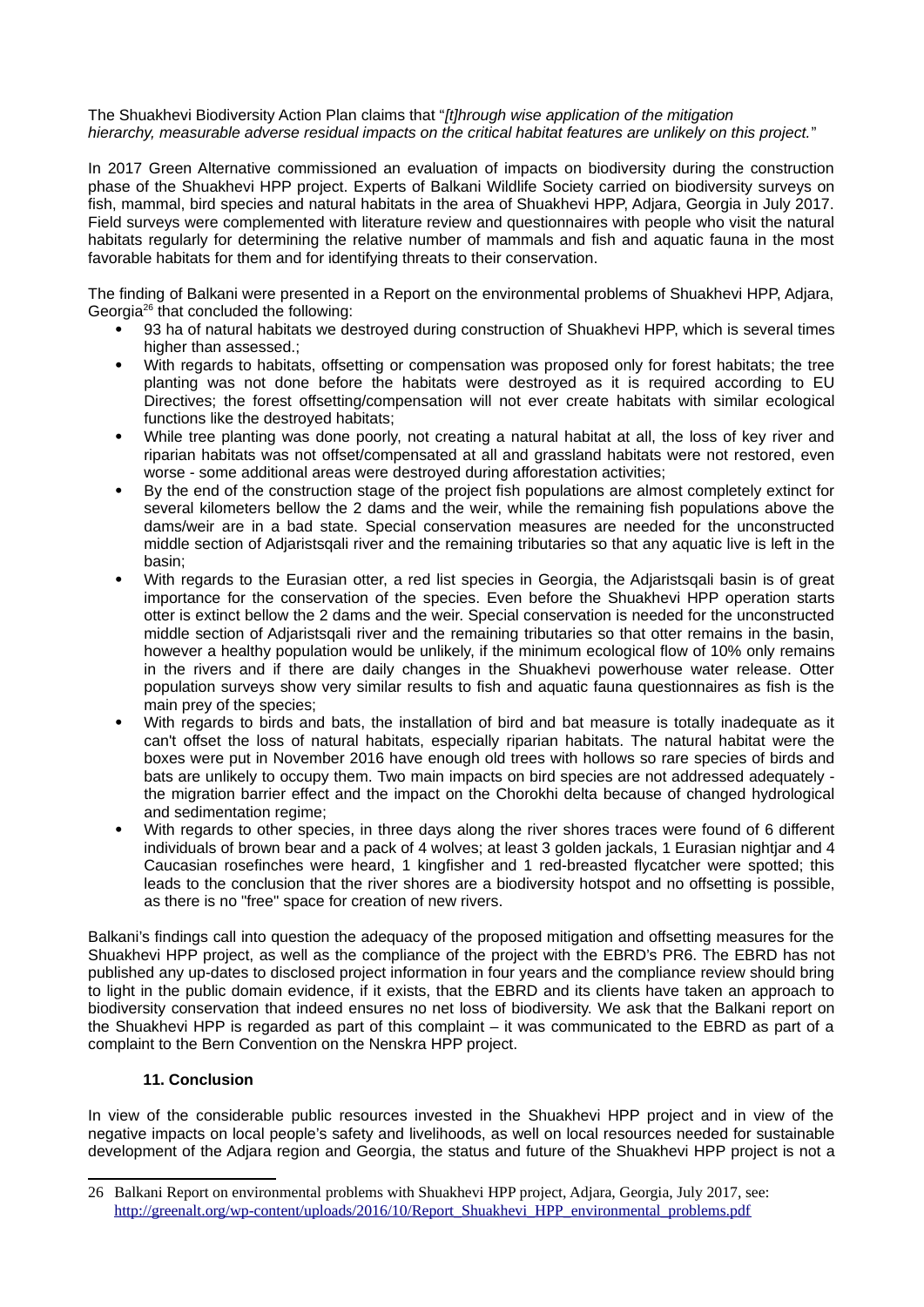The Shuakhevi Biodiversity Action Plan claims that "*[t]hrough wise application of the mitigation hierarchy, measurable adverse residual impacts on the critical habitat features are unlikely on this project.*"

In 2017 Green Alternative commissioned an evaluation of impacts on biodiversity during the construction phase of the Shuakhevi HPP project. Experts of Balkani Wildlife Society carried on biodiversity surveys on fish, mammal, bird species and natural habitats in the area of Shuakhevi HPP, Adjara, Georgia in July 2017. Field surveys were complemented with literature review and questionnaires with people who visit the natural habitats regularly for determining the relative number of mammals and fish and aquatic fauna in the most favorable habitats for them and for identifying threats to their conservation.

The finding of Balkani were presented in a Report on the environmental problems of Shuakhevi HPP, Adjara, Georgia<sup>[26](#page-9-0)</sup> that concluded the following:

- 93 ha of natural habitats we destroyed during construction of Shuakhevi HPP, which is several times higher than assessed.;
- With regards to habitats, offsetting or compensation was proposed only for forest habitats; the tree planting was not done before the habitats were destroyed as it is required according to EU Directives; the forest offsetting/compensation will not ever create habitats with similar ecological functions like the destroyed habitats;
- While tree planting was done poorly, not creating a natural habitat at all, the loss of key river and riparian habitats was not offset/compensated at all and grassland habitats were not restored, even worse - some additional areas were destroyed during afforestation activities;
- By the end of the construction stage of the project fish populations are almost completely extinct for several kilometers bellow the 2 dams and the weir, while the remaining fish populations above the dams/weir are in a bad state. Special conservation measures are needed for the unconstructed middle section of Adjaristsqali river and the remaining tributaries so that any aquatic live is left in the basin;
- With regards to the Eurasian otter, a red list species in Georgia, the Adjaristsqali basin is of great importance for the conservation of the species. Even before the Shuakhevi HPP operation starts otter is extinct bellow the 2 dams and the weir. Special conservation is needed for the unconstructed middle section of Adjaristsqali river and the remaining tributaries so that otter remains in the basin, however a healthy population would be unlikely, if the minimum ecological flow of 10% only remains in the rivers and if there are daily changes in the Shuakhevi powerhouse water release. Otter population surveys show very similar results to fish and aquatic fauna questionnaires as fish is the main prey of the species;
- With regards to birds and bats, the installation of bird and bat measure is totally inadequate as it can't offset the loss of natural habitats, especially riparian habitats. The natural habitat were the boxes were put in November 2016 have enough old trees with hollows so rare species of birds and bats are unlikely to occupy them. Two main impacts on bird species are not addressed adequately the migration barrier effect and the impact on the Chorokhi delta because of changed hydrological and sedimentation regime;
- With regards to other species, in three days along the river shores traces were found of 6 different individuals of brown bear and a pack of 4 wolves; at least 3 golden jackals, 1 Eurasian nightjar and 4 Caucasian rosefinches were heard, 1 kingfisher and 1 red-breasted flycatcher were spotted; this leads to the conclusion that the river shores are a biodiversity hotspot and no offsetting is possible, as there is no "free" space for creation of new rivers.

Balkani's findings call into question the adequacy of the proposed mitigation and offsetting measures for the Shuakhevi HPP project, as well as the compliance of the project with the EBRD's PR6. The EBRD has not published any up-dates to disclosed project information in four years and the compliance review should bring to light in the public domain evidence, if it exists, that the EBRD and its clients have taken an approach to biodiversity conservation that indeed ensures no net loss of biodiversity. We ask that the Balkani report on the Shuakhevi HPP is regarded as part of this complaint – it was communicated to the EBRD as part of a complaint to the Bern Convention on the Nenskra HPP project.

## **11. Conclusion**

In view of the considerable public resources invested in the Shuakhevi HPP project and in view of the negative impacts on local people's safety and livelihoods, as well on local resources needed for sustainable development of the Adjara region and Georgia, the status and future of the Shuakhevi HPP project is not a

<span id="page-9-0"></span><sup>26</sup> Balkani Report on environmental problems with Shuakhevi HPP project, Adjara, Georgia, July 2017, see: [http://greenalt.org/wp-content/uploads/2016/10/Report\\_Shuakhevi\\_HPP\\_environmental\\_problems.pdf](http://greenalt.org/wp-content/uploads/2016/10/Report_Shuakhevi_HPP_environmental_problems.pdf)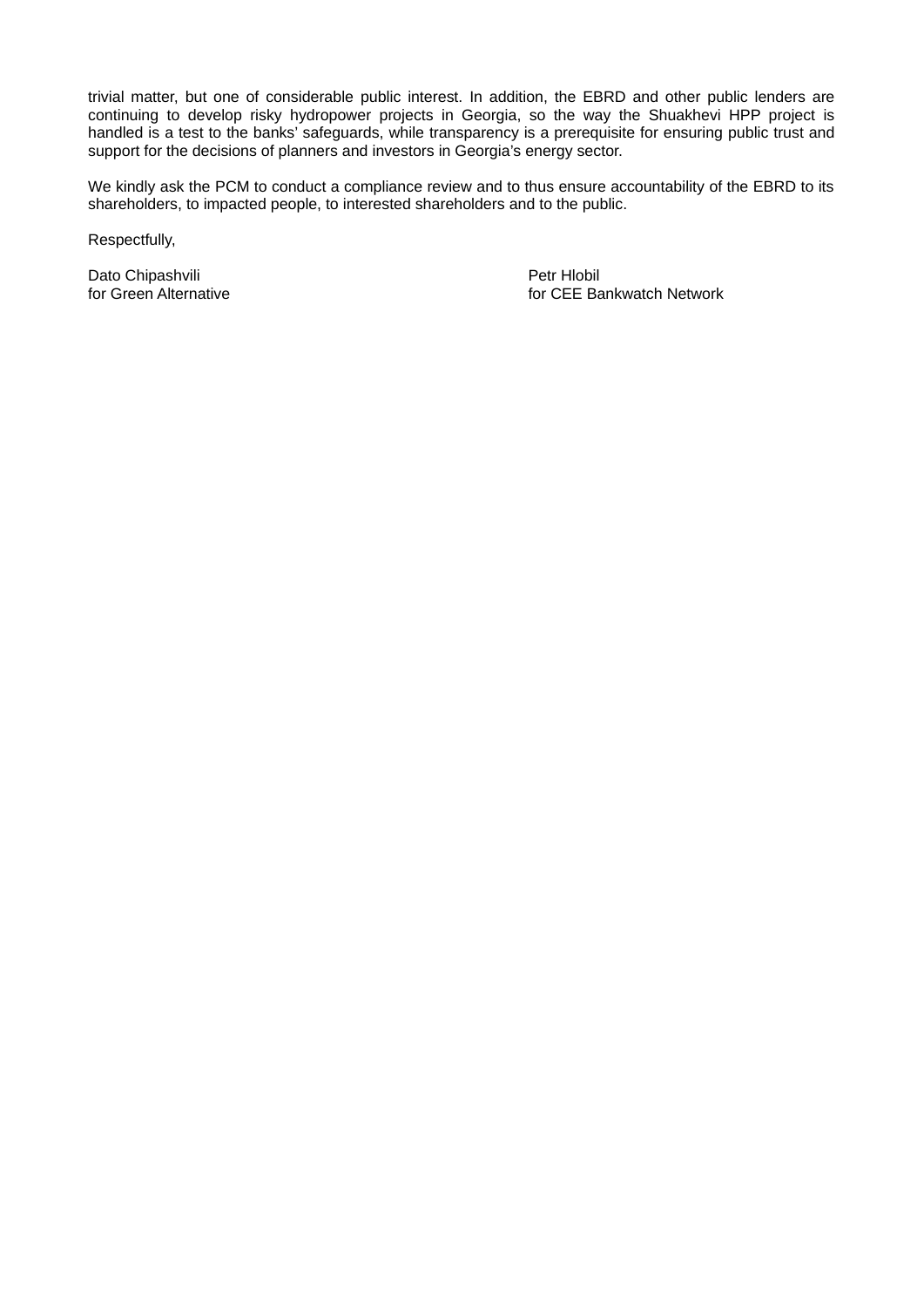trivial matter, but one of considerable public interest. In addition, the EBRD and other public lenders are continuing to develop risky hydropower projects in Georgia, so the way the Shuakhevi HPP project is handled is a test to the banks' safeguards, while transparency is a prerequisite for ensuring public trust and support for the decisions of planners and investors in Georgia's energy sector.

We kindly ask the PCM to conduct a compliance review and to thus ensure accountability of the EBRD to its shareholders, to impacted people, to interested shareholders and to the public.

Respectfully,

Dato Chipashvili<br>
for Green Alternative<br>
for CEE Ba

for CEE Bankwatch Network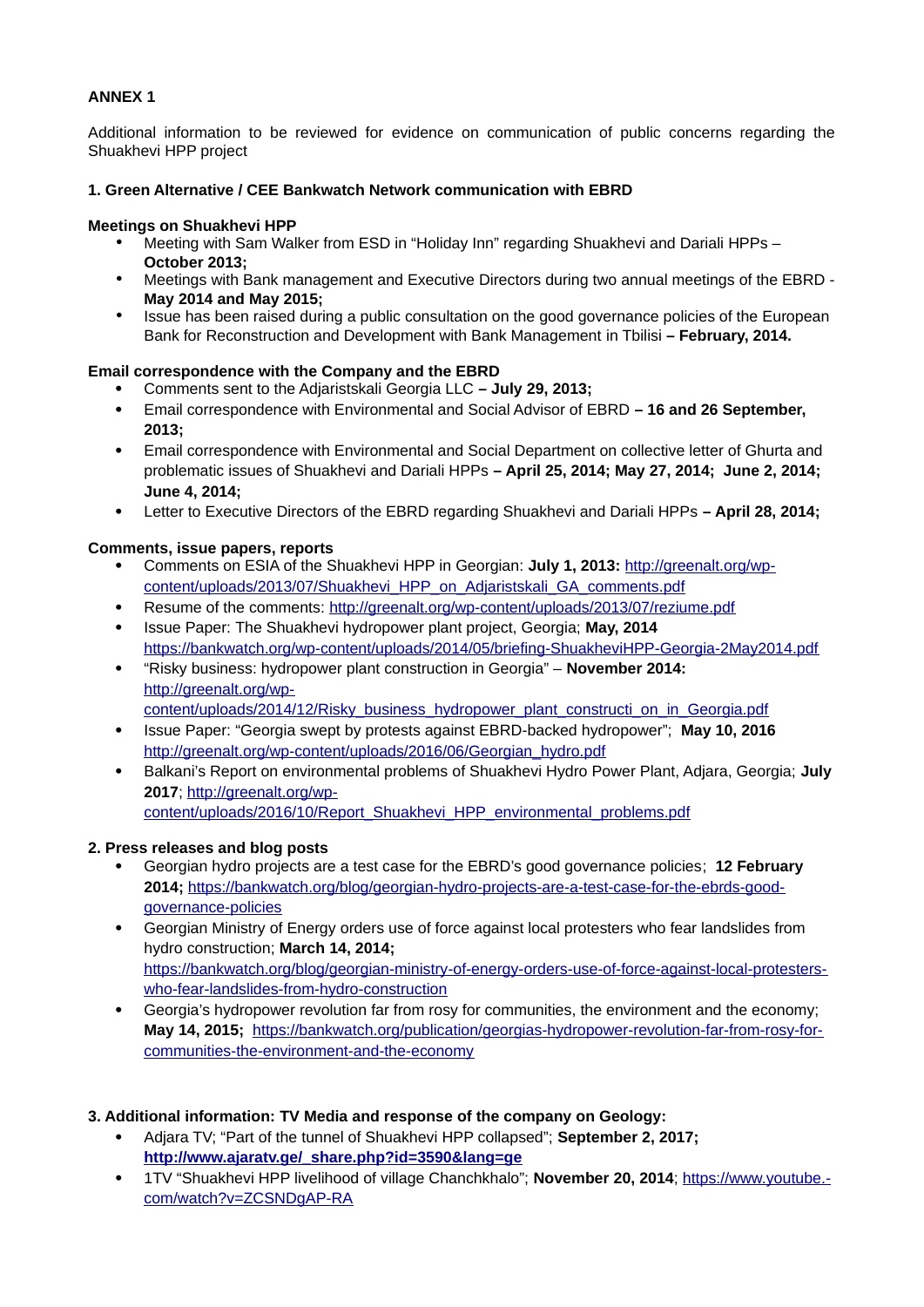# **ANNEX 1**

Additional information to be reviewed for evidence on communication of public concerns regarding the Shuakhevi HPP project

### **1. Green Alternative / CEE Bankwatch Network communication with EBRD**

### **Meetings on Shuakhevi HPP**

- Meeting with Sam Walker from ESD in "Holiday Inn" regarding Shuakhevi and Dariali HPPs **October 2013;**
- Meetings with Bank management and Executive Directors during two annual meetings of the EBRD **May 2014 and May 2015;**
- Issue has been raised during a public consultation on the good governance policies of the European Bank for Reconstruction and Development with Bank Management in Tbilisi **– February, 2014.**

### **Email correspondence with the Company and the EBRD**

- Comments sent to the Adjaristskali Georgia LLC **July 29, 2013;**
- Email correspondence with Environmental and Social Advisor of EBRD **16 and 26 September, 2013;**
- Email correspondence with Environmental and Social Department on collective letter of Ghurta and problematic issues of Shuakhevi and Dariali HPPs **– April 25, 2014; May 27, 2014; June 2, 2014; June 4, 2014;**
- Letter to Executive Directors of the EBRD regarding Shuakhevi and Dariali HPPs **April 28, 2014;**

## **Comments, issue papers, reports**

- Comments on ESIA of the Shuakhevi HPP in Georgian: **July 1, 2013:** [http://greenalt.org/wp](http://greenalt.org/wp-content/uploads/2013/07/Shuakhevi_HPP_on_Adjaristskali_GA_comments.pdf)[content/uploads/2013/07/Shuakhevi\\_HPP\\_on\\_Adjaristskali\\_GA\\_comments.pdf](http://greenalt.org/wp-content/uploads/2013/07/Shuakhevi_HPP_on_Adjaristskali_GA_comments.pdf)
- Resume of the comments: <http://greenalt.org/wp-content/uploads/2013/07/reziume.pdf>
- Issue Paper: The Shuakhevi hydropower plant project, Georgia; **May, 2014** <https://bankwatch.org/wp-content/uploads/2014/05/briefing-ShuakheviHPP-Georgia-2May2014.pdf>
- "Risky business: hydropower plant construction in Georgia" **November 2014:**  [http://greenalt.org/wp](http://greenalt.org/wp-content/uploads/2014/12/Risky_business_hydropower_plant_constructi_on_in_Georgia.pdf)
	- [content/uploads/2014/12/Risky\\_business\\_hydropower\\_plant\\_constructi\\_on\\_in\\_Georgia.pdf](http://greenalt.org/wp-content/uploads/2014/12/Risky_business_hydropower_plant_constructi_on_in_Georgia.pdf)
- Issue Paper: "Georgia swept by protests against EBRD-backed hydropower"; **May 10, 2016** [http://greenalt.org/wp-content/uploads/2016/06/Georgian\\_hydro.pdf](http://greenalt.org/wp-content/uploads/2016/06/Georgian_hydro.pdf)
- Balkani's Report on environmental problems of Shuakhevi Hydro Power Plant, Adjara, Georgia; **July 2017**; [http://greenalt.org/wp](http://greenalt.org/wp-content/uploads/2016/10/Report_Shuakhevi_HPP_environmental_problems.pdf)[content/uploads/2016/10/Report\\_Shuakhevi\\_HPP\\_environmental\\_problems.pdf](http://greenalt.org/wp-content/uploads/2016/10/Report_Shuakhevi_HPP_environmental_problems.pdf)

## **2. Press releases and blog posts**

- Georgian hydro projects are a test case for the EBRD's good governance policies; **12 February 2014;** [https://bankwatch.org/blog/georgian-hydro-projects-are-a-test-case-for-the-ebrds-good](https://bankwatch.org/blog/georgian-hydro-projects-are-a-test-case-for-the-ebrds-good-governance-policies)[governance-policies](https://bankwatch.org/blog/georgian-hydro-projects-are-a-test-case-for-the-ebrds-good-governance-policies)
- Georgian Ministry of Energy orders use of force against local protesters who fear landslides from hydro construction; **March 14, 2014;** [https://bankwatch.org/blog/georgian-ministry-of-energy-orders-use-of-force-against-local-protesters](https://bankwatch.org/blog/georgian-ministry-of-energy-orders-use-of-force-against-local-protesters-who-fear-landslides-from-hydro-construction)[who-fear-landslides-from-hydro-construction](https://bankwatch.org/blog/georgian-ministry-of-energy-orders-use-of-force-against-local-protesters-who-fear-landslides-from-hydro-construction)
- Georgia's hydropower revolution far from rosy for communities, the environment and the economy; **May 14, 2015;** [https://bankwatch.org/publication/georgias-hydropower-revolution-far-from-rosy-for](https://bankwatch.org/publication/georgias-hydropower-revolution-far-from-rosy-for-communities-the-environment-and-the-economy)[communities-the-environment-and-the-economy](https://bankwatch.org/publication/georgias-hydropower-revolution-far-from-rosy-for-communities-the-environment-and-the-economy)

## **3. Additional information: TV Media and response of the company on Geology:**

- Adjara TV; "Part of the tunnel of Shuakhevi HPP collapsed"; **September 2, 2017; [http://www.ajaratv.ge/\\_share.php?id=3590&lang=ge](http://www.ajaratv.ge/_share.php?id=3590&lang=ge)**
- 1TV "Shuakhevi HPP livelihood of village Chanchkhalo"; **November 20, 2014**; [https://www.youtube.](https://www.youtube.com/watch?v=ZCSNDgAP-RA) [com/watch?v=ZCSNDgAP-RA](https://www.youtube.com/watch?v=ZCSNDgAP-RA)